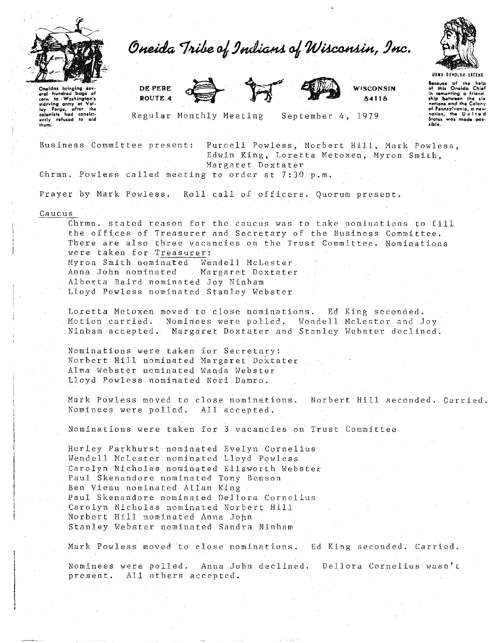

Oneida Tribe of Indians of Wisconsin, Inc.



Oneidas bringing sev eral hundred bags of corn to maintepens<br>starving army of Val.<br>Ley Forge, after the<br>colonists had consist-<br>enly refused to aid<br>them. DE PERE ROUTE 4





WISCONSIN 54115

**UBWA DEMOLUN YATE** Because of the help<br>of this Oneida Chief in cementing a friend nations and the Colony of Pennsylvania, a nation, the United States was made rible<sup>1</sup>

Regular Monthly Meeting

September 4, 1979

Business Committee present:

Purcell Powless, Norbert Hill, Mark Powless, Edwin King, Loretta Metoxen, Myron Smith, Margaret Doxtater

Chrmn. Powless called meeting to order at 7:30 p.m.

Prayer by Mark Powless. Roll call of officers. Quorum present.

## Caucus

Chrmn. stated reason for the caucus was to take nominations to fill the offices of Treasurer and Secretary of the Business Committee. There are also three vacancies on the Trust Committee. Nominations were taken for Treasurer: Myron Smith nominated Wendell McLester Anna John nominated Margaret Doxtater Alberta Baird nominated Joy Ninham Lloyd Powless nominated Stanley Webster

Loretta Metoxen moved to close nominations. Ed King seconded. Motion carried. Nominees were polled. Wendell McLester and Joy Ninham accepted. Margaret Doxtater and Stanley Webster declined.

Nominations were taken for Secretary: Norbert Hill nominated Margaret Doxtater Alma Webster nominated Wanda Webster Lloyd Powless nominated Nori Damro.

Mark Powless moved to close nominations. Norbert Hill seconded. Carried. Nominees were polled. All accepted.

Nominations were taken for 3 vacancies on Trust Committee

Hurley Parkhurst nominated Evelyn Cornelius Wendell McLester nominated Lloyd Powless Carolyn Nicholas nominated Ellsworth Webster Paul Skenandore nominated Tony Benson Ben Vieau nominated Allan King. Paul Skenandore nominated Dellora Cornelius Carolyn Nicholas nominated Norbert Hill Norbert Hill nominated Anna John Stanley Webster nominated Sandra NInham

Mark Powless moved to close nominations. Ed King seconded. Carried.

Nominees were polled. Anna John declined. Dellora Cornelius wasn't All others accepted. present.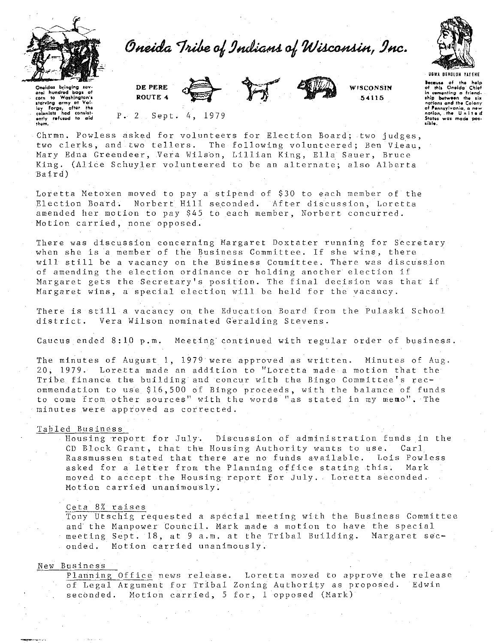



Oneidas bringing sov eral hundred bags of to Washington's starving army of starving army at Valley Forge, after the<br>colonists had consistently refused to aid<br>them. DE PERE ROUTE 4



**WISCONSIN** 54115

Because of the help of this Oneida' Chief<br>in comenting a friend-<br>ship between the six<br>nations and the Colony of Pennsylvania, a new<br>nation, the United<br>States was made possible.

 $P. 2$  Sept. 4, 1979

Chrmn. Powless asked for volunteers for Election Board; two judges. two clerks, and two tellers. The following volunteered; Ben Vieau. Mary Edna Greendeer, Vera Wilson, Lillian King, Ella Sauer, Bruce King. (Alice Schuyler volunteered to be an alternate; also Alberta  $Baird)$ 

Loretta Metoxen moved to pay a stipend of \$30 to each member of the Election Board. Norbert Hill seconded. After discussion, Loretta amended her motion to pay \$45 to each member, Norbert concurred. Motion carried, none opposed.

There was discussion concerning Margaret Doxtater running for Secretary when she is a member of the Business Committee. If she wins, there will still be a vacancy on the Business Committee. There was discussion of amending the election ordinance or holding another election if Margaret gets the Secretary's position. The final decision was that if Margaret wins, a special election will be held for the vacancy.

There is still a vacancy on the Education Board from the Pulaski School district. Vera Wilson nominated Geralding Stevens.

Caucus ended 8:10 p.m. Meeting continued with regular order of business.

The minutes of August 1, 1979 were approved as written. Minutes of Aug. 20, 1979. Loretta made an addition to "Loretta made a motion that the Tribe finance the building and concur with the Bingo Committee's recommendation to use \$16,500 of Bingo proceeds, with the balance of funds to come from other sources" with the words "as stated in my memo". The minutes were approved as corrected.

## Tabled Business

Housing report for July. Discussion of administration funds in the CD Block Grant, that the Housing Authority wants to use.  $\operatorname{Car1}$ Rassmussen stated that there are no funds available. Lois Powless asked for a letter from the Planning office stating this. Mark moved to accept the Housing report for July. Loretta seconded. Motion carried unanimously.

## Ceta 8% raises

Tony Utschig requested a special meeting with the Business Committee and the Manpower Council. Mark made a motion to have the special meeting Sept. 18, at 9 a.m. at the Tribal Building. Margaret sec-Motion carried unanimously. onded.

## New Business

Planning Office news release. Loretta moved to approve the release of Legal Argument for Tribal Zoning Authority as proposed. Edwin seconded. Motion carried, 5 for, 1 opposed (Mark)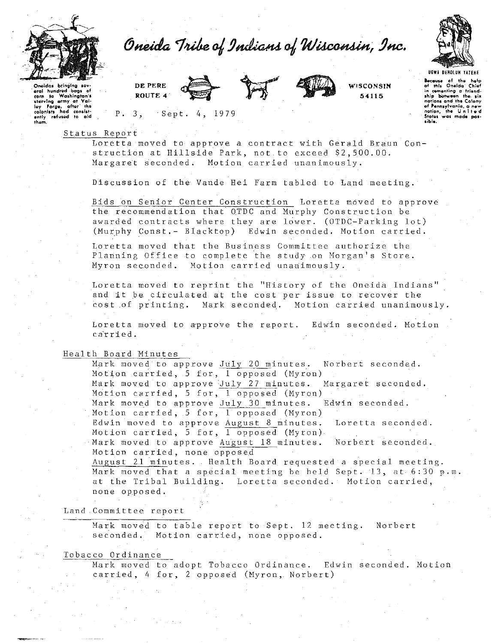



UGWA DENOLUN YATENE

Because of the help<br>of this Onelda Chief in cementing a friend-<br>ship between the six<br>nations and the Colony of Pennsylvania, a new<br>nation, the United Status was made

Oneidas brinaína aral hundred bags of<br>corn to Washington's corn starving army at Valley Forge, after the colonists not consist-<br>ently refused to aid<br>them. DE PERE ROUTE 4

Sept. 4, 1979



WISCONSIN

54115

Status Report

 $P \cdot 3$ 

Loretta moved to approve a contract with Gerald Braun Construction at Hillside Park, not to exceed \$2,500.00. Margaret seconded. Motion carried unanimously.

Discussion of the Vande Hei Farm tabled to Land meeting.

Bids on Senior Center Construction Loretta moved to approve the recommendation that OTDC and Murphy Construction be awarded contracts where they are lower. (OTDC-Parking lot) (Murphy Const.- Blacktop) Edwin seconded. Motion carried.

Loretta moved that the Business Committee authorize the Planning Office to complete the study on Morgan's Store. Myron seconded. Motion carried unanimously.

Loretta moved to reprint the "History of the Oneida Indians" and it be circulated at the cost per issue to recover the cost of printing. Mark seconded. Motion carried unanimously.

Loretta moved to approve the report. Edwin seconded. Motion carried.

Health Board Minutes

Mark moved to approve July 20 minutes. Norbert seconded. Motion carried, 5 for, 1 opposed (Myron) Mark moved to approve July 27 minutes. Margaret seconded. Motion carried, 5 for, 1 opposed (Myron) Mark moved to approve July 30 minutes. Edwin seconded. Motion carried, 5 for, 1 opposed (Myron) Edwin moved to approve August 8 minutes. Loretta seconded. Motion carried, 5 for, 1 opposed (Myron). Mark moved to approve August 18 minutes. Norbert seconded. Motion carried, none opposed

August 21 minutes. Health Board requested a special meeting. Mark moved that a special meeting be held Sept. 13, at 6:30 p.m. at the Tribal Building. Loretta seconded. Motion carried, none opposed.

Land Committee report

Mark moved to table report to Sept. 12 meeting. Norbert seconded. Motion carried, none opposed.

Tobacco Ordinance

Mark moved to adopt Tobacco Ordinance. Edwin seconded. Motion carried, 4 for, 2 opposed (Myron, Norbert)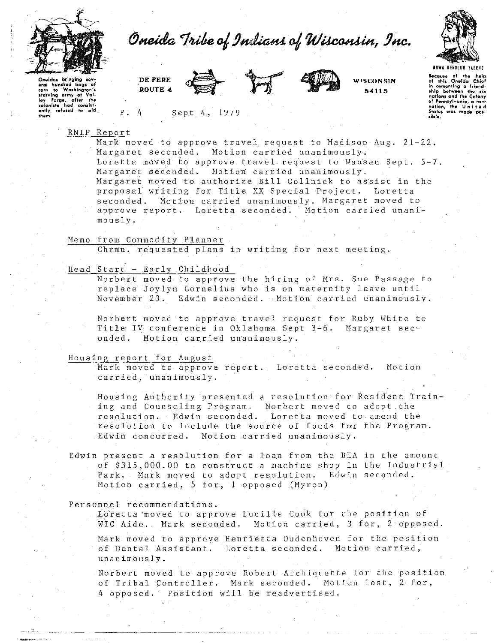



Oneidas bringing sev-<br>exim hondred bags of<br>coim to Washington's<br>sterving army at Val-<br>ley Farge, after the<br>colonists had consist-<br>enly refused to eid<br>them.

DE PERE ROUTE 4

Sept 4, 1979



**WISCONSIN**  5411 5

**lecaUM of tho holp of rill• Oneida- Chief**  in comonting a friend-<br>ship <del>between the six</del><br>nations and the Colony **of "•rmlylvonio, a n•w nation, the U n** I I **11 d Stat"' was made pot· tible.** 

RNIP Report

Mark moved to approve travel request to Madison Aug. 21-22. Margaret Seconded. Motion carried unanimously. Loretta moved to approve travel request to Wausau Sept.  $5-7$ . Margaret seconded. Motion carried unanimously. Margaret moved to authorize Bill Gollnick to assist in the proposal writing for Title XX Special Project. Loretta seconded. Motion carried unanimously. Margaret moved to approve report. Loretta seconded. Motion carried unanimously.

Memo from Commodity Planner

Chrmn. re'quested plans in writing for next meeting.

Head Start - Early Childhood

Norbert moved to approve the hiring of Mrs. Sue Passage to replace Joylyn Cornelius who is on maternity leave until November 23. Edwin seconded. Motion carried unanimously.

Norbert moved to approve travel request for Ruby White to Title IV conference in Oklahoma Sept 3-6. Margaret seconded. Motion carried unanimously.

Housing report for August

Mark moved to approve report. Loretta seconded. Motion carried, unanimously.

Housing Authority presented a resolution for Resident Training and Counseling Program. Norbert moved to adopt the resolution. Edwin seconded. Loretta moved to amend the resolution to include the source of funds for the Program. Edwin concurred. Motion carried unanimously.

Edwin present a resolution for a loan from the BIA in the amount of \$315,000.00 to construct a machine shop in the Industrial Park. Mark moved to adopt resolution. Edwin seconded. Motion carried, 5 for, 1 opposed (Myron)

Personnel recommendations.

.....<br>Loretta moved to approve Lucille Cook for the position of WIC Aide. Mark seconded. Motion carried, 3 for, 2 opposed.

Mark moved to approve Henrietta Oudenhoven for the position of Dental Assistant. Loretta seconded. Motion carried, unanimously.

Norbert moved to approve Robert Archiquette for the position of Tribal Controller. Mark seconded. Motion lost, 2< for, 4 opposed. Position will be readvertised.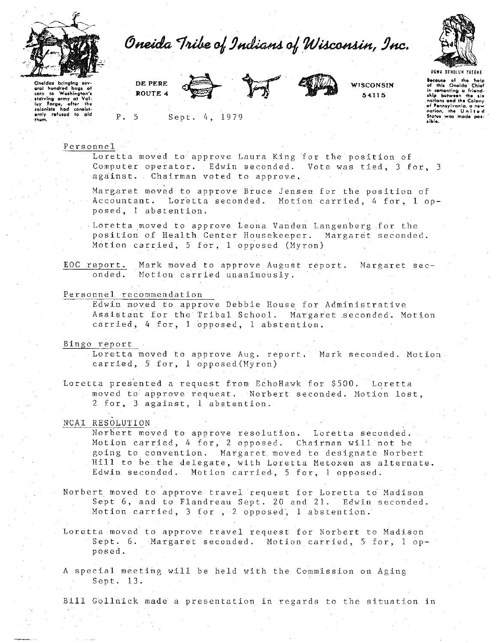

Oneida Tribe of Indians of Wisconsin, Inc.



Oneldas bringing Oneldas bringing sev-<br>eral hundred bags of<br>corn to Washington's<br>starving army at Val-<br>ley Forge, after the<br>rolonists had consist-<br>enly refused to ald<br>them. DE PERE ROUTE 4



Sept. 4, 1979



**WISCONSIN.** 54115

Secause of the help<br>of this Oneida Chief in comenting a friend-<br>ship between the six ship between the Colony<br>nations and the Colony<br>of Pennsylvania, a new<br>nation, the United<br>States was made posa indo

Personnel

 $P. 5$ 

Loretta moved to approve Laura King for the position of Computer operator. Edwin seconded. Vote was tied, 3 for, 3 against. Chairman voted to approve.

Margaret moved to approve Bruce Jensen for the position of Accountant. Loretta seconded. Motion carried, 4 for, 1 opposed, 1 abstention.

Loretta moved to approve Leona Vanden Langenberg for the position of Health Center Housekeeper. Margaret seconded. Motion carried, 5 for, 1 opposed (Myron)

EOC report. Mark moved to approve August report. Margaret seconded. Motion carried unanimously.

Personnel recommendation

Edwin moved to approve Debbie House for Administrative Assistant for the Tribal School. Margaret seconded. Motion carried, 4 for, 1 opposed, 1 abstention.

Bingo report

Loretta moved to approve Aug. report. Mark seconded. Motion carried, 5 for, 1 opposed (Myron)

Loretta presented a request from EchoHawk for \$500. Loretta moved to approve request. Norbert seconded. Motion lost, 2 for, 3 against, 1 abstention.

**NCAI RESOLUTION** 

Norbert moved to approve resolution. Loretta seconded. Motion carried, 4 for, 2 opposed. Chairman will not be going to convention. Margaret moved to designate Norbert Hill to be the delegate, with Loretta Metoxen as alternate. Edwin seconded. Motion carried, 5 for, 1 opposed.

Norbert moved to approve travel request for Loretta to Madison Sept 6, and to Flandreau Sept. 20 and 21. Edwin seconded. Motion carried, 3 for , 2 opposed, 1 abstention.

Loretta moved to approve travel request for Norbert to Madison Sept. 6. Margaret seconded. Motion carried, 5 for, 1 opposed.

A special meeting will be held with the Commission on Aging Sept. 13.

Bill Gollnick made a presentation in regards to the situation in